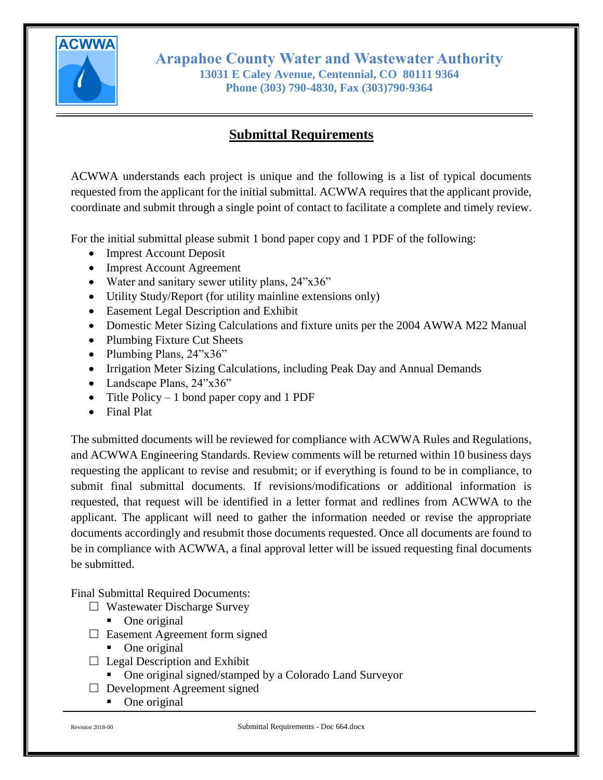

**Arapahoe County Water and Wastewater Authority 13031 E Caley Avenue, Centennial, CO 80111 9364 Phone (303) 790-4830, Fax (303)790-9364**

## **Submittal Requirements**

ACWWA understands each project is unique and the following is a list of typical documents requested from the applicant for the initial submittal. ACWWA requires that the applicant provide, coordinate and submit through a single point of contact to facilitate a complete and timely review.

For the initial submittal please submit 1 bond paper copy and 1 PDF of the following:

- Imprest Account Deposit
- Imprest Account Agreement
- Water and sanitary sewer utility plans,  $24$ "x36"
- Utility Study/Report (for utility mainline extensions only)
- Easement Legal Description and Exhibit
- Domestic Meter Sizing Calculations and fixture units per the 2004 AWWA M22 Manual
- Plumbing Fixture Cut Sheets
- Plumbing Plans, 24"x36"
- Irrigation Meter Sizing Calculations, including Peak Day and Annual Demands
- Landscape Plans, 24"x36"
- Title Policy 1 bond paper copy and 1 PDF
- Final Plat

The submitted documents will be reviewed for compliance with ACWWA Rules and Regulations, and ACWWA Engineering Standards. Review comments will be returned within 10 business days requesting the applicant to revise and resubmit; or if everything is found to be in compliance, to submit final submittal documents. If revisions/modifications or additional information is requested, that request will be identified in a letter format and redlines from ACWWA to the applicant. The applicant will need to gather the information needed or revise the appropriate documents accordingly and resubmit those documents requested. Once all documents are found to be in compliance with ACWWA, a final approval letter will be issued requesting final documents be submitted.

Final Submittal Required Documents:

- $\Box$  Wastewater Discharge Survey
	- One original
- $\Box$  Easement Agreement form signed
	- One original
- $\Box$  Legal Description and Exhibit
	- One original signed/stamped by a Colorado Land Surveyor
- $\Box$  Development Agreement signed
	- One original